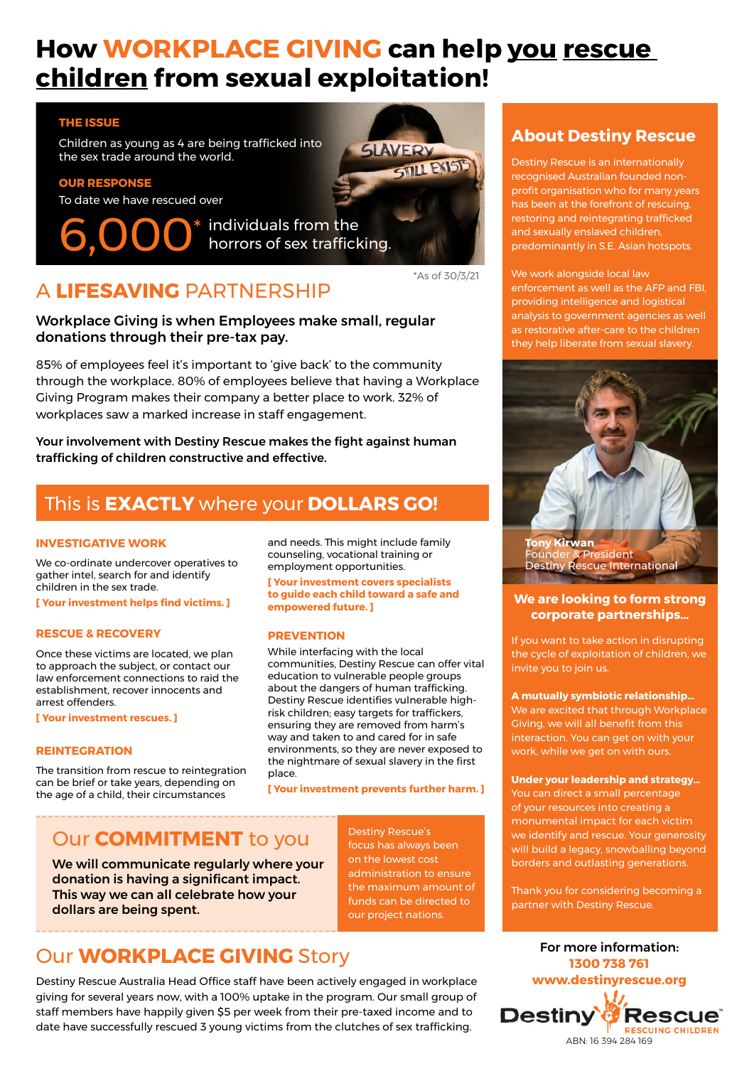# **How WORKPLACE GIVING can help you rescue children from sexual exploitation!**

#### **THE ISSUE**

Children as young as 4 are being trafficked into the sex trade around the world.

#### **OUR RESPONSE**

To date we have rescued over

6,000<sup>\*</sup> individuals from the horrors of sex trafficking.



## A **LIFESAVING** PARTNERSHIP

#### Workplace Giving is when Employees make small, regular donations through their pre-tax pay.

85% of employees feel it's important to 'give back' to the community through the workplace. 80% of employees believe that having a Workplace Giving Program makes their company a better place to work. 32% of workplaces saw a marked increase in staff engagement.

Your involvement with Destiny Rescue makes the fight against human trafficking of children constructive and effective.

### This is **EXACTLY** where your **DOLLARS GO!**

#### **INVESTIGATIVE WORK**

We co-ordinate undercover operatives to gather intel, search for and identify children in the sex trade.

**[ Your investment helps find victims. ]**

#### **RESCUE & RECOVERY**

Once these victims are located, we plan to approach the subject, or contact our law enforcement connections to raid the establishment, recover innocents and arrest offenders.

**[ Your investment rescues. ]**

#### **REINTEGRATION**

The transition from rescue to reintegration can be brief or take years, depending on the age of a child, their circumstances

and needs. This might include family counseling, vocational training or employment opportunities.

**[ Your investment covers specialists to guide each child toward a safe and empowered future. ]**

#### **PREVENTION**

While interfacing with the local communities, Destiny Rescue can offer vital education to vulnerable people groups about the dangers of human trafficking. Destiny Rescue identifies vulnerable highrisk children; easy targets for traffickers, ensuring they are removed from harm's way and taken to and cared for in safe environments, so they are never exposed to the nightmare of sexual slavery in the first place.

**[ Your investment prevents further harm. ]**

### Our **COMMITMENT** to you

We will communicate regularly where your donation is having a significant impact. This way we can all celebrate how your dollars are being spent.

on the lowest cost administration to ensure the maximum amount of funds can be directed to our project nations.

Destiny Rescue's focus has always been

### Our **WORKPLACE GIVING** Story

Destiny Rescue Australia Head Office staff have been actively engaged in workplace giving for several years now, with a 100% uptake in the program. Our small group of staff members have happily given \$5 per week from their pre-taxed income and to date have successfully rescued 3 young victims from the clutches of sex trafficking.

### **About Destiny Rescue**

Destiny Rescue is an internationally recognised Australian founded nonprofit organisation who for many years has been at the forefront of rescuing, restoring and reintegrating trafficked and sexually enslaved children, predominantly in S.E. Asian hotspots.

We work alongside local law enforcement as well as the AFP and FBI, providing intelligence and logistical analysis to government agencies as well as restorative after-care to the children they help liberate from sexual slavery.



**Tony Kirwan** sident Destiny Rescue International

#### **We are looking to form strong corporate partnerships…**

If you want to take action in disrupting the cycle of exploitation of children, we invite you to join us.

**A mutually symbiotic relationship…** We are excited that through Workplace Giving, we will all benefit from this interaction. You can get on with your work, while we get on with ours.

**Under your leadership and strategy…** You can direct a small percentage of your resources into creating a monumental impact for each victim we identify and rescue. Your generosity will build a legacy, snowballing beyond borders and outlasting generations.

Thank you for considering becoming a partner with Destiny Rescue.

For more information: **1300 738 761 www.destinyrescue.org Destiny Rescue RESCUING CHILDREN** ABN: 16 394 284 169